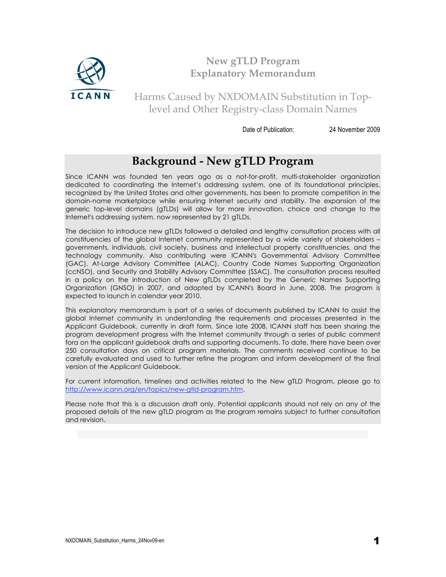

## **New gTLD Program Explanatory Memorandum**

Harms Caused by NXDOMAIN Substitution in Toplevel and Other Registry-class Domain Names

Date of Publication: 24 November 2009

# **Background - New gTLD Program**

Since ICANN was founded ten years ago as a not-for-profit, multi-stakeholder organization dedicated to coordinating the Internet's addressing system, one of its foundational principles, recognized by the United States and other governments, has been to promote competition in the domain-name marketplace while ensuring Internet security and stability. The expansion of the generic top-level domains (gTLDs) will allow for more innovation, choice and change to the Internet's addressing system, now represented by 21 gTLDs.

The decision to introduce new gTLDs followed a detailed and lengthy consultation process with all constituencies of the global Internet community represented by a wide variety of stakeholders – governments, individuals, civil society, business and intellectual property constituencies, and the technology community. Also contributing were ICANN's Governmental Advisory Committee (GAC), At-Large Advisory Committee (ALAC), Country Code Names Supporting Organization (ccNSO), and Security and Stability Advisory Committee (SSAC). The consultation process resulted in a policy on the introduction of New gTLDs completed by the Generic Names Supporting Organization (GNSO) in 2007, and adopted by ICANN's Board in June, 2008. The program is expected to launch in calendar year 2010.

This explanatory memorandum is part of a series of documents published by ICANN to assist the global Internet community in understanding the requirements and processes presented in the Applicant Guidebook, currently in draft form*.* Since late 2008, ICANN staff has been sharing the program development progress with the Internet community through a series of public comment fora on the applicant guidebook drafts and supporting documents. To date, there have been over 250 consultation days on critical program materials. The comments received continue to be carefully evaluated and used to further refine the program and inform development of the final version of the Applicant Guidebook.

For current information, timelines and activities related to the New gTLD Program, please go to http://www.icann.org/en/topics/new-gtld-program.htm.

Please note that this is a discussion draft only. Potential applicants should not rely on any of the proposed details of the new gTLD program as the program remains subject to further consultation and revision.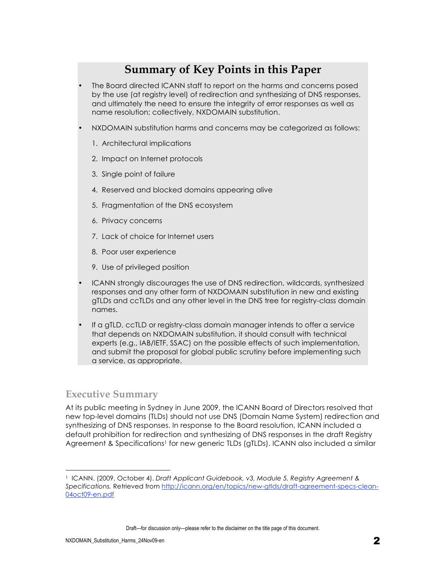# **Summary of Key Points in this Paper**

- The Board directed ICANN staff to report on the harms and concerns posed by the use (at registry level) of redirection and synthesizing of DNS responses, and ultimately the need to ensure the integrity of error responses as well as name resolution; collectively, NXDOMAIN substitution.
- NXDOMAIN substitution harms and concerns may be categorized as follows:
	- 1. Architectural implications
	- 2. Impact on Internet protocols
	- 3. Single point of failure
	- 4. Reserved and blocked domains appearing alive
	- 5. Fragmentation of the DNS ecosystem
	- 6. Privacy concerns
	- 7. Lack of choice for Internet users
	- 8. Poor user experience
	- 9. Use of privileged position
- ICANN strongly discourages the use of DNS redirection, wildcards, synthesized responses and any other form of NXDOMAIN substitution in new and existing gTLDs and ccTLDs and any other level in the DNS tree for registry-class domain names.
- If a gTLD, ccTLD or registry-class domain manager intends to offer a service that depends on NXDOMAIN substitution, it should consult with technical experts (e.g., IAB/IETF, SSAC) on the possible effects of such implementation, and submit the proposal for global public scrutiny before implementing such a service, as appropriate.

### **Executive Summary**

 $\overline{a}$ 

At its public meeting in Sydney in June 2009, the ICANN Board of Directors resolved that new top-level domains (TLDs) should not use DNS (Domain Name System) redirection and synthesizing of DNS responses. In response to the Board resolution, ICANN included a default prohibition for redirection and synthesizing of DNS responses in the draft Registry Agreement & Specifications<sup>1</sup> for new generic TLDs (gTLDs). ICANN also included a similar

<sup>1</sup> ICANN. (2009, October 4). *Draft Applicant Guidebook, v3, Module 5, Registry Agreement & Specifications.* Retrieved from http://icann.org/en/topics/new-gtlds/draft-agreement-specs-clean-04oct09-en.pdf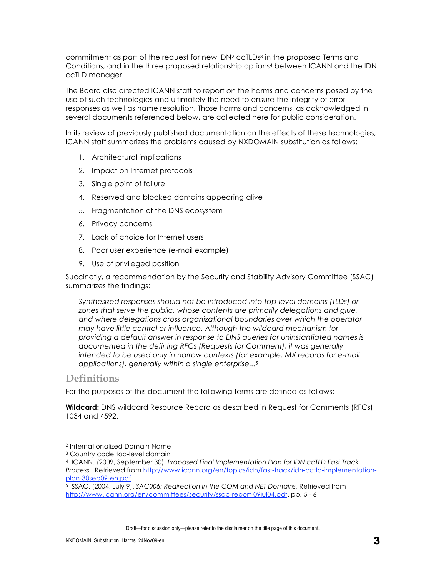commitment as part of the request for new IDN<sup>2</sup> ccTLDs<sup>3</sup> in the proposed Terms and Conditions, and in the three proposed relationship options4 between ICANN and the IDN ccTLD manager.

The Board also directed ICANN staff to report on the harms and concerns posed by the use of such technologies and ultimately the need to ensure the integrity of error responses as well as name resolution. Those harms and concerns, as acknowledged in several documents referenced below, are collected here for public consideration.

In its review of previously published documentation on the effects of these technologies, ICANN staff summarizes the problems caused by NXDOMAIN substitution as follows:

- 1. Architectural implications
- 2. Impact on Internet protocols
- 3. Single point of failure
- 4. Reserved and blocked domains appearing alive
- 5. Fragmentation of the DNS ecosystem
- 6. Privacy concerns
- 7. Lack of choice for Internet users
- 8. Poor user experience (e-mail example)
- 9. Use of privileged position

Succinctly, a recommendation by the Security and Stability Advisory Committee (SSAC) summarizes the findings:

*Synthesized responses should not be introduced into top-level domains (TLDs) or zones that serve the public, whose contents are primarily delegations and glue, and where delegations cross organizational boundaries over which the operator may have little control or influence. Although the wildcard mechanism for providing a default answer in response to DNS queries for uninstantiated names is documented in the defining RFCs (Requests for Comment), it was generally*  intended to be used only in narrow contexts (for example, MX records for e-mail *applications), generally within a single enterprise...5*

### **Definitions**

 $\overline{a}$ 

For the purposes of this document the following terms are defined as follows:

**Wildcard:** DNS wildcard Resource Record as described in Request for Comments (RFCs) 1034 and 4592.

<sup>2</sup> Internationalized Domain Name

<sup>3</sup> Country code top-level domain

<sup>4</sup> ICANN. (2009, September 30). *Proposed Final Implementation Plan for IDN ccTLD Fast Track Process .* Retrieved from http://www.icann.org/en/topics/idn/fast-track/idn-cctld-implementationplan-30sep09-en.pdf

<sup>5</sup> SSAC. (2004, July 9). *SAC006: Redirection in the COM and NET Domains.* Retrieved from http://www.icann.org/en/committees/security/ssac-report-09jul04.pdf. pp. 5 - 6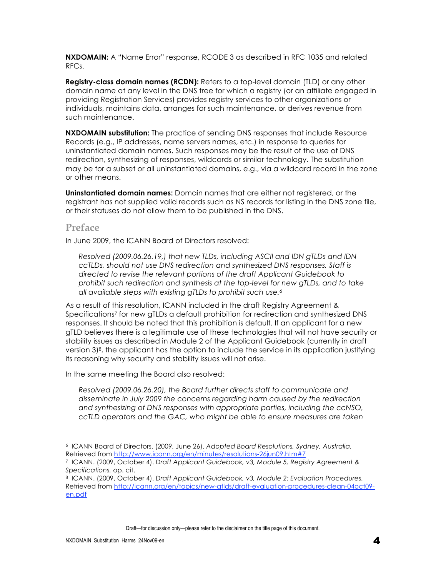**NXDOMAIN:** A "Name Error" response, RCODE 3 as described in RFC 1035 and related RFCs.

**Registry-class domain names (RCDN):** Refers to a top-level domain (TLD) or any other domain name at any level in the DNS tree for which a registry (or an affiliate engaged in providing Registration Services) provides registry services to other organizations or individuals, maintains data, arranges for such maintenance, or derives revenue from such maintenance.

**NXDOMAIN substitution:** The practice of sending DNS responses that include Resource Records (e.g., IP addresses, name servers names, etc.) in response to queries for uninstantiated domain names. Such responses may be the result of the use of DNS redirection, synthesizing of responses, wildcards or similar technology. The substitution may be for a subset or all uninstantiated domains, e.g., via a wildcard record in the zone or other means.

**Uninstantiated domain names:** Domain names that are either not registered, or the registrant has not supplied valid records such as NS records for listing in the DNS zone file, or their statuses do not allow them to be published in the DNS.

### **Preface**

 $\overline{a}$ 

In June 2009, the ICANN Board of Directors resolved:

*Resolved (2009.06.26.19,) that new TLDs, including ASCII and IDN gTLDs and IDN ccTLDs, should not use DNS redirection and synthesized DNS responses. Staff is directed to revise the relevant portions of the draft Applicant Guidebook to prohibit such redirection and synthesis at the top-level for new gTLDs, and to take all available steps with existing gTLDs to prohibit such use.6*

As a result of this resolution, ICANN included in the draft Registry Agreement & Specifications<sup>7</sup> for new gTLDs a default prohibition for redirection and synthesized DNS responses. It should be noted that this prohibition is default. If an applicant for a new gTLD believes there is a legitimate use of these technologies that will not have security or stability issues as described in Module 2 of the Applicant Guidebook (currently in draft version 3)8, the applicant has the option to include the service in its application justifying its reasoning why security and stability issues will not arise.

In the same meeting the Board also resolved:

*Resolved (2009.06.26.20), the Board further directs staff to communicate and disseminate in July 2009 the concerns regarding harm caused by the redirection and synthesizing of DNS responses with appropriate parties, including the ccNSO, ccTLD operators and the GAC, who might be able to ensure measures are taken* 

<sup>6</sup> ICANN Board of Directors. (2009, June 26). *Adopted Board Resolutions, Sydney, Australia.* Retrieved from http://www.icann.org/en/minutes/resolutions-26jun09.htm#7

<sup>7</sup> ICANN. (2009, October 4). *Draft Applicant Guidebook, v3, Module 5, Registry Agreement & Specifications.* op. cit.

<sup>8</sup> ICANN. (2009, October 4). *Draft Applicant Guidebook, v3, Module 2: Evaluation Procedures.* Retrieved from http://icann.org/en/topics/new-gtlds/draft-evaluation-procedures-clean-04oct09 en.pdf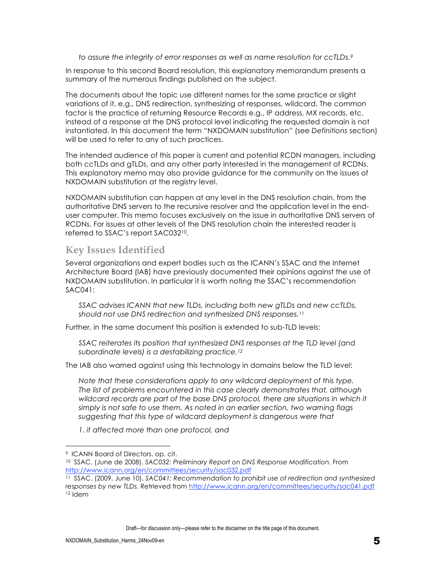*to assure the integrity of error responses as well as name resolution for ccTLDs.9*

In response to this second Board resolution, this explanatory memorandum presents a summary of the numerous findings published on the subject.

The documents about the topic use different names for the same practice or slight variations of it, e.g., DNS redirection, synthesizing of responses, wildcard. The common factor is the practice of returning Resource Records e.g., IP address, MX records, etc. instead of a response at the DNS protocol level indicating the requested domain is not instantiated. In this document the term "NXDOMAIN substitution" (see *Definitions* section) will be used to refer to any of such practices.

The intended audience of this paper is current and potential RCDN managers, including both ccTLDs and gTLDs, and any other party interested in the management of RCDNs. This explanatory memo may also provide guidance for the community on the issues of NXDOMAIN substitution at the registry level.

NXDOMAIN substitution can happen at any level in the DNS resolution chain, from the authoritative DNS servers to the recursive resolver and the application level in the enduser computer. This memo focuses exclusively on the issue in authoritative DNS servers of RCDNs. For issues at other levels of the DNS resolution chain the interested reader is referred to SSAC's report SAC03210.

### **Key Issues Identified**

Several organizations and expert bodies such as the ICANN's SSAC and the Internet Architecture Board (IAB) have previously documented their opinions against the use of NXDOMAIN substitution. In particular it is worth noting the SSAC's recommendation SAC041:

*SSAC advises ICANN that new TLDs, including both new gTLDs and new ccTLDs, should not use DNS redirection and synthesized DNS responses.11*

Further, in the same document this position is extended to sub-TLD levels:

*SSAC reiterates its position that synthesized DNS responses at the TLD level (and subordinate levels) is a destabilizing practice.12*

The IAB also warned against using this technology in domains below the TLD level:

*Note that these considerations apply to any wildcard deployment of this type. The list of problems encountered in this case clearly demonstrates that, although*  wildcard records are part of the base DNS protocol, there are situations in which it *simply is not safe to use them. As noted in an earlier section, two warning flags suggesting that this type of wildcard deployment is dangerous were that*

*1. it affected more than one protocol, and*

 $\overline{a}$ 

<sup>9</sup> ICANN Board of Directors. op. cit.

<sup>10</sup> SSAC. (June de 2008). *SAC032: Preliminary Report on DNS Response Modification.* From http://www.icann.org/en/committees/security/sac032.pdf

<sup>11</sup> SSAC. (2009, June 10). *SAC041: Recommendation to prohibit use of redirection and synthesized responses by new TLDs.* Retrieved from http://www.icann.org/en/committees/security/sac041.pdf 12 Idem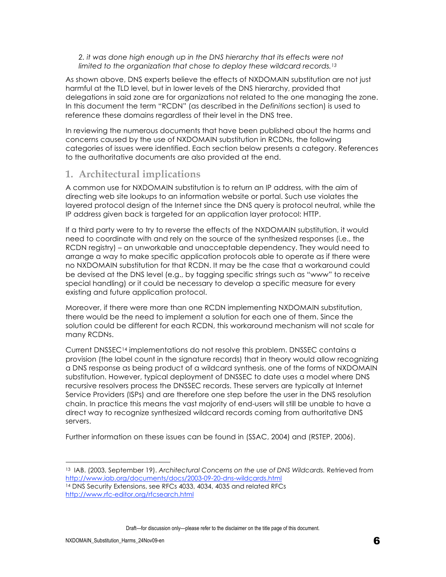*2. it was done high enough up in the DNS hierarchy that its effects were not limited to the organization that chose to deploy these wildcard records.13*

As shown above, DNS experts believe the effects of NXDOMAIN substitution are not just harmful at the TLD level, but in lower levels of the DNS hierarchy, provided that delegations in said zone are for organizations not related to the one managing the zone. In this document the term "RCDN" (as described in the *Definitions* section) is used to reference these domains regardless of their level in the DNS tree.

In reviewing the numerous documents that have been published about the harms and concerns caused by the use of NXDOMAIN substitution in RCDNs, the following categories of issues were identified. Each section below presents a category. References to the authoritative documents are also provided at the end.

## **1. Architectural implications**

A common use for NXDOMAIN substitution is to return an IP address, with the aim of directing web site lookups to an information website or portal. Such use violates the layered protocol design of the Internet since the DNS query is protocol neutral, while the IP address given back is targeted for an application layer protocol: HTTP.

If a third party were to try to reverse the effects of the NXDOMAIN substitution, it would need to coordinate with and rely on the source of the synthesized responses (i.e., the RCDN registry) – an unworkable and unacceptable dependency. They would need to arrange a way to make specific application protocols able to operate as if there were no NXDOMAIN substitution for that RCDN. It may be the case that a workaround could be devised at the DNS level (e.g., by tagging specific strings such as "www" to receive special handling) or it could be necessary to develop a specific measure for every existing and future application protocol.

Moreover, if there were more than one RCDN implementing NXDOMAIN substitution, there would be the need to implement a solution for each one of them. Since the solution could be different for each RCDN, this workaround mechanism will not scale for many RCDNs.

Current DNSSEC14 implementations do not resolve this problem. DNSSEC contains a provision (the label count in the signature records) that in theory would allow recognizing a DNS response as being product of a wildcard synthesis, one of the forms of NXDOMAIN substitution. However, typical deployment of DNSSEC to date uses a model where DNS recursive resolvers process the DNSSEC records. These servers are typically at Internet Service Providers (ISPs) and are therefore one step before the user in the DNS resolution chain. In practice this means the vast majority of end-users will still be unable to have a direct way to recognize synthesized wildcard records coming from authoritative DNS servers.

Further information on these issues can be found in (SSAC, 2004) and (RSTEP, 2006).

Draft—for discussion only—please refer to the disclaimer on the title page of this document.

 $\overline{a}$ 

<sup>13</sup> IAB. (2003, September 19). *Architectural Concerns on the use of DNS Wildcards.* Retrieved from http://www.iab.org/documents/docs/2003-09-20-dns-wildcards.html <sup>14</sup> DNS Security Extensions, see RFCs 4033, 4034, 4035 and related RFCs

http://www.rfc-editor.org/rfcsearch.html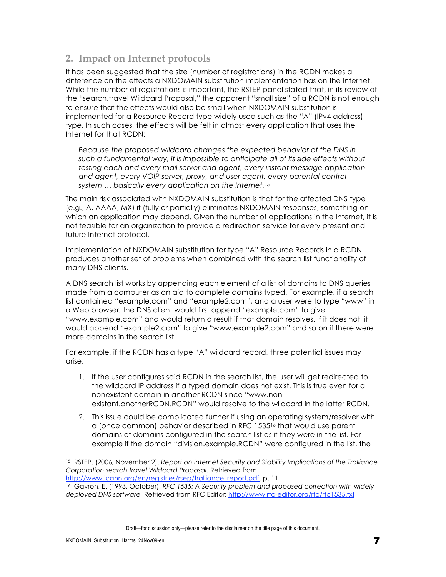## **2. Impact on Internet protocols**

It has been suggested that the size (number of registrations) in the RCDN makes a difference on the effects a NXDOMAIN substitution implementation has on the Internet. While the number of registrations is important, the RSTEP panel stated that, in its review of the "search.travel Wildcard Proposal," the apparent "small size" of a RCDN is not enough to ensure that the effects would also be small when NXDOMAIN substitution is implemented for a Resource Record type widely used such as the "A" (IPv4 address) type. In such cases, the effects will be felt in almost every application that uses the Internet for that RCDN:

*Because the proposed wildcard changes the expected behavior of the DNS in such a fundamental way, it is impossible to anticipate all of its side effects without testing each and every mail server and agent, every instant message application and agent, every VOIP server, proxy, and user agent, every parental control system … basically every application on the Internet.15*

The main risk associated with NXDOMAIN substitution is that for the affected DNS type (e.g., A, AAAA, MX) it (fully or partially) eliminates NXDOMAIN responses, something on which an application may depend. Given the number of applications in the Internet, it is not feasible for an organization to provide a redirection service for every present and future Internet protocol.

Implementation of NXDOMAIN substitution for type "A" Resource Records in a RCDN produces another set of problems when combined with the search list functionality of many DNS clients.

A DNS search list works by appending each element of a list of domains to DNS queries made from a computer as an aid to complete domains typed. For example, if a search list contained "example.com" and "example2.com", and a user were to type "www" in a Web browser, the DNS client would first append "example.com" to give "www.example.com" and would return a result if that domain resolves. If it does not, it would append "example2.com" to give "www.example2.com" and so on if there were more domains in the search list.

For example, if the RCDN has a type "A" wildcard record, three potential issues may arise:

- 1. If the user configures said RCDN in the search list, the user will get redirected to the wildcard IP address if a typed domain does not exist. This is true even for a nonexistent domain in another RCDN since "www.nonexistant.anotherRCDN.RCDN" would resolve to the wildcard in the latter RCDN.
- 2. This issue could be complicated further if using an operating system/resolver with a (once common) behavior described in RFC 153516 that would use parent domains of domains configured in the search list as if they were in the list. For example if the domain "division.example.RCDN" were configured in the list, the

http://www.icann.org/en/registries/rsep/tralliance\_report.pdf. p. 11

Draft—for discussion only—please refer to the disclaimer on the title page of this document.

 $\overline{a}$ 

<sup>15</sup> RSTEP. (2006, November 2). *Report on Internet Security and Stability Implications of the Tralliance Corporation search.travel Wildcard Proposal.* Retrieved from

<sup>16</sup> Gavron, E. (1993, October). *RFC 1535: A Security problem and proposed correction with widely deployed DNS software.* Retrieved from RFC Editor: http://www.rfc-editor.org/rfc/rfc1535.txt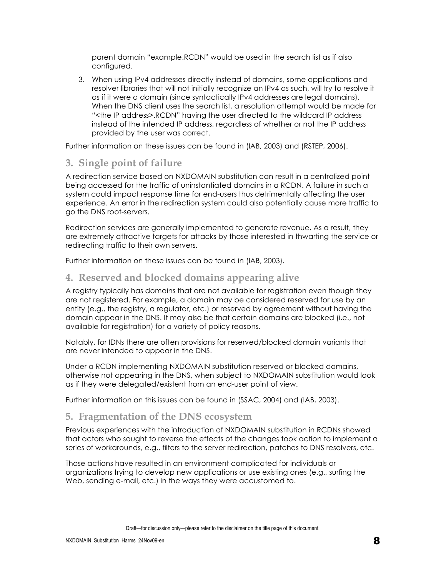parent domain "example.RCDN" would be used in the search list as if also configured.

3. When using IPv4 addresses directly instead of domains, some applications and resolver libraries that will not initially recognize an IPv4 as such, will try to resolve it as if it were a domain (since syntactically IPv4 addresses are legal domains). When the DNS client uses the search list, a resolution attempt would be made for "<the IP address>.RCDN" having the user directed to the wildcard IP address instead of the intended IP address, regardless of whether or not the IP address provided by the user was correct.

Further information on these issues can be found in (IAB, 2003) and (RSTEP, 2006).

## **3. Single point of failure**

A redirection service based on NXDOMAIN substitution can result in a centralized point being accessed for the traffic of uninstantiated domains in a RCDN. A failure in such a system could impact response time for end-users thus detrimentally affecting the user experience. An error in the redirection system could also potentially cause more traffic to go the DNS root-servers.

Redirection services are generally implemented to generate revenue. As a result, they are extremely attractive targets for attacks by those interested in thwarting the service or redirecting traffic to their own servers.

Further information on these issues can be found in (IAB, 2003).

### **4. Reserved and blocked domains appearing alive**

A registry typically has domains that are not available for registration even though they are not registered. For example, a domain may be considered reserved for use by an entity (e.g., the registry, a regulator, etc.) or reserved by agreement without having the domain appear in the DNS. It may also be that certain domains are blocked (i.e., not available for registration) for a variety of policy reasons.

Notably, for IDNs there are often provisions for reserved/blocked domain variants that are never intended to appear in the DNS.

Under a RCDN implementing NXDOMAIN substitution reserved or blocked domains, otherwise not appearing in the DNS, when subject to NXDOMAIN substitution would look as if they were delegated/existent from an end-user point of view.

Further information on this issues can be found in (SSAC, 2004) and (IAB, 2003).

## **5. Fragmentation of the DNS ecosystem**

Previous experiences with the introduction of NXDOMAIN substitution in RCDNs showed that actors who sought to reverse the effects of the changes took action to implement a series of workarounds, e.g., filters to the server redirection, patches to DNS resolvers, etc.

Those actions have resulted in an environment complicated for individuals or organizations trying to develop new applications or use existing ones (e.g., surfing the Web, sending e-mail, etc.) in the ways they were accustomed to.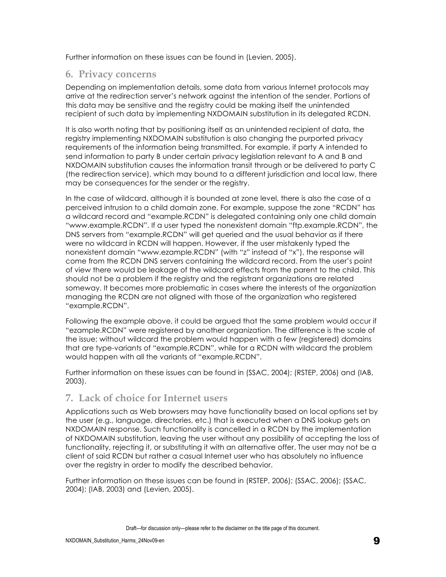Further information on these issues can be found in (Levien, 2005).

#### **6. Privacy concerns**

Depending on implementation details, some data from various Internet protocols may arrive at the redirection server's network against the intention of the sender. Portions of this data may be sensitive and the registry could be making itself the unintended recipient of such data by implementing NXDOMAIN substitution in its delegated RCDN.

It is also worth noting that by positioning itself as an unintended recipient of data, the registry implementing NXDOMAIN substitution is also changing the purported privacy requirements of the information being transmitted. For example, if party A intended to send information to party B under certain privacy legislation relevant to A and B and NXDOMAIN substitution causes the information transit through or be delivered to party C (the redirection service), which may bound to a different jurisdiction and local law, there may be consequences for the sender or the registry.

In the case of wildcard, although it is bounded at zone level, there is also the case of a perceived intrusion to a child domain zone. For example, suppose the zone "RCDN" has a wildcard record and "example.RCDN" is delegated containing only one child domain "www.example.RCDN". If a user typed the nonexistent domain "ftp.example.RCDN", the DNS servers from "example.RCDN" will get queried and the usual behavior as if there were no wildcard in RCDN will happen. However, if the user mistakenly typed the nonexistent domain "www.ezample.RCDN" (with "z" instead of "x"), the response will come from the RCDN DNS servers containing the wildcard record. From the user's point of view there would be leakage of the wildcard effects from the parent to the child. This should not be a problem if the registry and the registrant organizations are related someway. It becomes more problematic in cases where the interests of the organization managing the RCDN are not aligned with those of the organization who registered "example.RCDN".

Following the example above, it could be argued that the same problem would occur if "ezample.RCDN" were registered by another organization. The difference is the scale of the issue; without wildcard the problem would happen with a few (registered) domains that are type-variants of "example.RCDN", while for a RCDN with wildcard the problem would happen with all the variants of "example.RCDN".

Further information on these issues can be found in (SSAC, 2004); (RSTEP, 2006) and (IAB, 2003).

## **7. Lack of choice for Internet users**

Applications such as Web browsers may have functionality based on local options set by the user (e.g., language, directories, etc.) that is executed when a DNS lookup gets an NXDOMAIN response. Such functionality is cancelled in a RCDN by the implementation of NXDOMAIN substitution, leaving the user without any possibility of accepting the loss of functionality, rejecting it, or substituting it with an alternative offer. The user may not be a client of said RCDN but rather a casual Internet user who has absolutely no influence over the registry in order to modify the described behavior.

Further information on these issues can be found in (RSTEP, 2006); (SSAC, 2006); (SSAC, 2004); (IAB, 2003) and (Levien, 2005).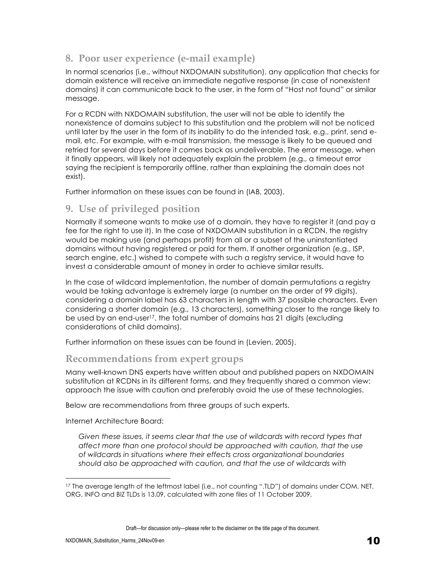## **8. Poor user experience (e-mail example)**

In normal scenarios (i.e., without NXDOMAIN substitution), any application that checks for domain existence will receive an immediate negative response (in case of nonexistent domains) it can communicate back to the user, in the form of "Host not found" or similar message.

For a RCDN with NXDOMAIN substitution, the user will not be able to identify the nonexistence of domains subject to this substitution and the problem will not be noticed until later by the user in the form of its inability to do the intended task, e.g., print, send email, etc. For example, with e-mail transmission, the message is likely to be queued and retried for several days before it comes back as undeliverable. The error message, when it finally appears, will likely not adequately explain the problem (e.g., a timeout error saying the recipient is temporarily offline, rather than explaining the domain does not exist).

Further information on these issues can be found in (IAB, 2003).

## **9. Use of privileged position**

Normally if someone wants to make use of a domain, they have to register it (and pay a fee for the right to use it). In the case of NXDOMAIN substitution in a RCDN, the registry would be making use (and perhaps profit) from all or a subset of the uninstantiated domains without having registered or paid for them. If another organization (e.g., ISP, search engine, etc.) wished to compete with such a registry service, it would have to invest a considerable amount of money in order to achieve similar results.

In the case of wildcard implementation, the number of domain permutations a registry would be taking advantage is extremely large (a number on the order of 99 digits), considering a domain label has 63 characters in length with 37 possible characters. Even considering a shorter domain (e.g., 13 characters), something closer to the range likely to be used by an end-user17, the total number of domains has 21 digits (excluding considerations of child domains).

Further information on these issues can be found in (Levien, 2005).

## **Recommendations from expert groups**

Many well-known DNS experts have written about and published papers on NXDOMAIN substitution at RCDNs in its different forms, and they frequently shared a common view: approach the issue with caution and preferably avoid the use of these technologies.

Below are recommendations from three groups of such experts.

Internet Architecture Board:

Given these issues, it seems clear that the use of wildcards with record types that *affect more than one protocol should be approached with caution, that the use of wildcards in situations where their effects cross organizational boundaries should also be approached with caution, and that the use of wildcards with* 

 $\overline{a}$ 17 The average length of the leftmost label (i.e., not counting ".TLD") of domains under COM, NET, ORG, INFO and BIZ TLDs is 13.09, calculated with zone files of 11 October 2009.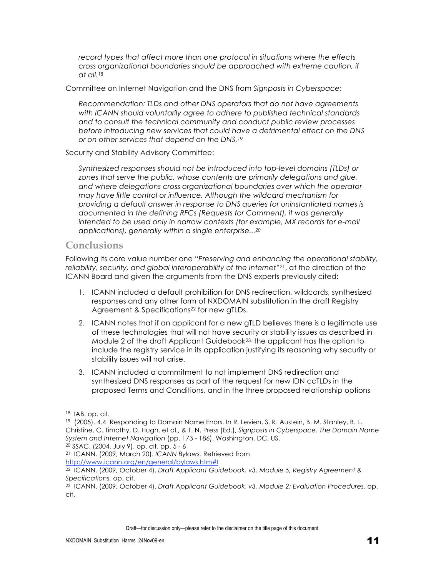*record types that affect more than one protocol in situations where the effects cross organizational boundaries should be approached with extreme caution, if at all.18*

Committee on Internet Navigation and the DNS from *Signposts in Cyberspace*:

*Recommendation: TLDs and other DNS operators that do not have agreements with ICANN should voluntarily agree to adhere to published technical standards and to consult the technical community and conduct public review processes before introducing new services that could have a detrimental effect on the DNS or on other services that depend on the DNS.19*

#### Security and Stability Advisory Committee:

*Synthesized responses should not be introduced into top-level domains (TLDs) or zones that serve the public, whose contents are primarily delegations and glue, and where delegations cross organizational boundaries over which the operator may have little control or influence. Although the wildcard mechanism for providing a default answer in response to DNS queries for uninstantiated names is documented in the defining RFCs (Requests for Comment), it was generally*  intended to be used only in narrow contexts (for example, MX records for e-mail *applications), generally within a single enterprise...20*

#### **Conclusions**

Following its core value number one "*Preserving and enhancing the operational stability, reliability, security, and global interoperability of the Internet*"21, at the direction of the ICANN Board and given the arguments from the DNS experts previously cited:

- 1. ICANN included a default prohibition for DNS redirection, wildcards, synthesized responses and any other form of NXDOMAIN substitution in the draft Registry Agreement & Specifications<sup>22</sup> for new gTLDs.
- 2. ICANN notes that if an applicant for a new gTLD believes there is a legitimate use of these technologies that will not have security or stability issues as described in Module 2 of the draft Applicant Guidebook $^{23}$ , the applicant has the option to include the registry service in its application justifying its reasoning why security or stability issues will not arise.
- 3. ICANN included a commitment to not implement DNS redirection and synthesized DNS responses as part of the request for new IDN ccTLDs in the proposed Terms and Conditions, and in the three proposed relationship options

 $\overline{a}$ 

20 SSAC. (2004, July 9). op. cit. pp. 5 - 6

<sup>18</sup> IAB. op. cit.

<sup>19 (2005). 4.4</sup> Responding to Domain Name Errors. In R. Levien, S. R. Austein, B. M. Stanley, B. L. Christine, C. Timothy, D. Hugh, et al., & T. N. Press (Ed.), *Signposts in Cyberspace. The Domain Name System and Internet Navigation* (pp. 173 - 186). Washington, DC, US.

<sup>21</sup> ICANN. (2009, March 20). *ICANN Bylaws.* Retrieved from http://www.icann.org/en/general/bylaws.htm#I

<sup>22</sup> ICANN. (2009, October 4). *Draft Applicant Guidebook, v3, Module 5, Registry Agreement & Specifications.* op. cit.

<sup>23</sup> ICANN. (2009, October 4). *Draft Applicant Guidebook, v3, Module 2: Evaluation Procedures.* op. cit.